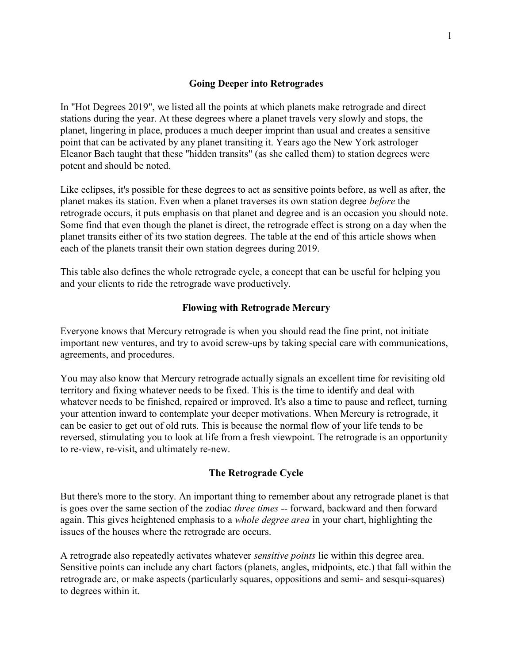### Going Deeper into Retrogrades

In "Hot Degrees 2019", we listed all the points at which planets make retrograde and direct stations during the year. At these degrees where a planet travels very slowly and stops, the planet, lingering in place, produces a much deeper imprint than usual and creates a sensitive point that can be activated by any planet transiting it. Years ago the New York astrologer Eleanor Bach taught that these "hidden transits" (as she called them) to station degrees were potent and should be noted.

Like eclipses, it's possible for these degrees to act as sensitive points before, as well as after, the planet makes its station. Even when a planet traverses its own station degree before the retrograde occurs, it puts emphasis on that planet and degree and is an occasion you should note. Some find that even though the planet is direct, the retrograde effect is strong on a day when the planet transits either of its two station degrees. The table at the end of this article shows when each of the planets transit their own station degrees during 2019.

This table also defines the whole retrograde cycle, a concept that can be useful for helping you and your clients to ride the retrograde wave productively.

### Flowing with Retrograde Mercury

Everyone knows that Mercury retrograde is when you should read the fine print, not initiate important new ventures, and try to avoid screw-ups by taking special care with communications, agreements, and procedures.

You may also know that Mercury retrograde actually signals an excellent time for revisiting old territory and fixing whatever needs to be fixed. This is the time to identify and deal with whatever needs to be finished, repaired or improved. It's also a time to pause and reflect, turning your attention inward to contemplate your deeper motivations. When Mercury is retrograde, it can be easier to get out of old ruts. This is because the normal flow of your life tends to be reversed, stimulating you to look at life from a fresh viewpoint. The retrograde is an opportunity to re-view, re-visit, and ultimately re-new.

#### The Retrograde Cycle

But there's more to the story. An important thing to remember about any retrograde planet is that is goes over the same section of the zodiac three times -- forward, backward and then forward again. This gives heightened emphasis to a whole degree area in your chart, highlighting the issues of the houses where the retrograde arc occurs.

A retrograde also repeatedly activates whatever sensitive points lie within this degree area. Sensitive points can include any chart factors (planets, angles, midpoints, etc.) that fall within the retrograde arc, or make aspects (particularly squares, oppositions and semi- and sesqui-squares) to degrees within it.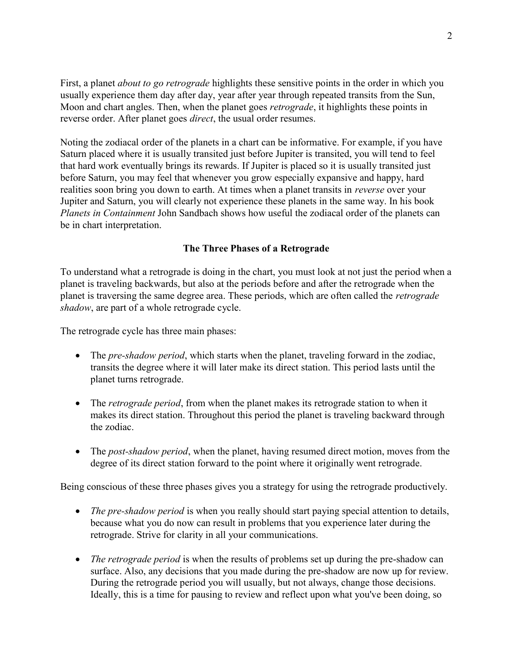First, a planet *about to go retrograde* highlights these sensitive points in the order in which you usually experience them day after day, year after year through repeated transits from the Sun, Moon and chart angles. Then, when the planet goes *retrograde*, it highlights these points in reverse order. After planet goes direct, the usual order resumes.

Noting the zodiacal order of the planets in a chart can be informative. For example, if you have Saturn placed where it is usually transited just before Jupiter is transited, you will tend to feel that hard work eventually brings its rewards. If Jupiter is placed so it is usually transited just before Saturn, you may feel that whenever you grow especially expansive and happy, hard realities soon bring you down to earth. At times when a planet transits in reverse over your Jupiter and Saturn, you will clearly not experience these planets in the same way. In his book Planets in Containment John Sandbach shows how useful the zodiacal order of the planets can be in chart interpretation.

# The Three Phases of a Retrograde

To understand what a retrograde is doing in the chart, you must look at not just the period when a planet is traveling backwards, but also at the periods before and after the retrograde when the planet is traversing the same degree area. These periods, which are often called the retrograde shadow, are part of a whole retrograde cycle.

The retrograde cycle has three main phases:

- The *pre-shadow period*, which starts when the planet, traveling forward in the zodiac, transits the degree where it will later make its direct station. This period lasts until the planet turns retrograde.
- The *retrograde period*, from when the planet makes its retrograde station to when it makes its direct station. Throughout this period the planet is traveling backward through the zodiac.
- The *post-shadow period*, when the planet, having resumed direct motion, moves from the degree of its direct station forward to the point where it originally went retrograde.

Being conscious of these three phases gives you a strategy for using the retrograde productively.

- The pre-shadow period is when you really should start paying special attention to details, because what you do now can result in problems that you experience later during the retrograde. Strive for clarity in all your communications.
- The retrograde period is when the results of problems set up during the pre-shadow can surface. Also, any decisions that you made during the pre-shadow are now up for review. During the retrograde period you will usually, but not always, change those decisions. Ideally, this is a time for pausing to review and reflect upon what you've been doing, so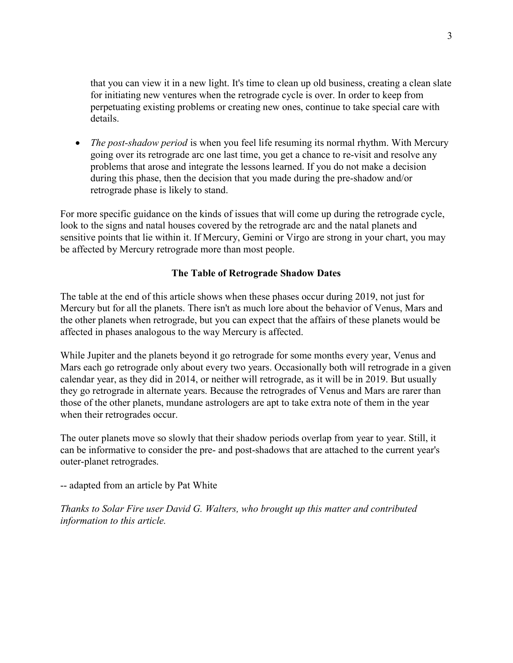that you can view it in a new light. It's time to clean up old business, creating a clean slate for initiating new ventures when the retrograde cycle is over. In order to keep from perpetuating existing problems or creating new ones, continue to take special care with details.

• The post-shadow period is when you feel life resuming its normal rhythm. With Mercury going over its retrograde arc one last time, you get a chance to re-visit and resolve any problems that arose and integrate the lessons learned. If you do not make a decision during this phase, then the decision that you made during the pre-shadow and/or retrograde phase is likely to stand.

For more specific guidance on the kinds of issues that will come up during the retrograde cycle, look to the signs and natal houses covered by the retrograde arc and the natal planets and sensitive points that lie within it. If Mercury, Gemini or Virgo are strong in your chart, you may be affected by Mercury retrograde more than most people.

## The Table of Retrograde Shadow Dates

The table at the end of this article shows when these phases occur during 2019, not just for Mercury but for all the planets. There isn't as much lore about the behavior of Venus, Mars and the other planets when retrograde, but you can expect that the affairs of these planets would be affected in phases analogous to the way Mercury is affected.

While Jupiter and the planets beyond it go retrograde for some months every year, Venus and Mars each go retrograde only about every two years. Occasionally both will retrograde in a given calendar year, as they did in 2014, or neither will retrograde, as it will be in 2019. But usually they go retrograde in alternate years. Because the retrogrades of Venus and Mars are rarer than those of the other planets, mundane astrologers are apt to take extra note of them in the year when their retrogrades occur.

The outer planets move so slowly that their shadow periods overlap from year to year. Still, it can be informative to consider the pre- and post-shadows that are attached to the current year's outer-planet retrogrades.

-- adapted from an article by Pat White

Thanks to Solar Fire user David G. Walters, who brought up this matter and contributed information to this article.